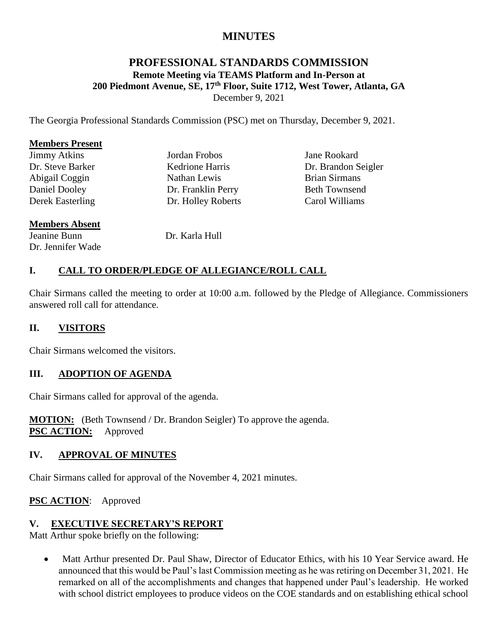# **MINUTES**

## **PROFESSIONAL STANDARDS COMMISSION Remote Meeting via TEAMS Platform and In-Person at 200 Piedmont Avenue, SE, 17th Floor, Suite 1712, West Tower, Atlanta, GA** December 9, 2021

The Georgia Professional Standards Commission (PSC) met on Thursday, December 9, 2021.

#### **Members Present**

| <b>Jimmy Atkins</b>     |
|-------------------------|
| Dr. Steve Barker        |
| Abigail Coggin          |
| <b>Daniel Dooley</b>    |
| <b>Derek Easterling</b> |

Jordan Frobos Kedrione Harris Nathan Lewis Dr. Franklin Perry Dr. Holley Roberts Jane Rookard Dr. Brandon Seigler Brian Sirmans Beth Townsend Carol Williams

## **Members Absent**

Jeanine Bunn Dr. Jennifer Wade Dr. Karla Hull

## **I. CALL TO ORDER/PLEDGE OF ALLEGIANCE/ROLL CALL**

Chair Sirmans called the meeting to order at 10:00 a.m. followed by the Pledge of Allegiance. Commissioners answered roll call for attendance.

#### **II. VISITORS**

Chair Sirmans welcomed the visitors.

#### **III. ADOPTION OF AGENDA**

Chair Sirmans called for approval of the agenda.

**MOTION:** (Beth Townsend / Dr. Brandon Seigler) To approve the agenda. **PSC ACTION:** Approved

#### **IV. APPROVAL OF MINUTES**

Chair Sirmans called for approval of the November 4, 2021 minutes.

**PSC ACTION**: Approved

#### **V. EXECUTIVE SECRETARY'S REPORT**

Matt Arthur spoke briefly on the following:

• Matt Arthur presented Dr. Paul Shaw, Director of Educator Ethics, with his 10 Year Service award. He announced that this would be Paul's last Commission meeting as he was retiring on December 31, 2021. He remarked on all of the accomplishments and changes that happened under Paul's leadership. He worked with school district employees to produce videos on the COE standards and on establishing ethical school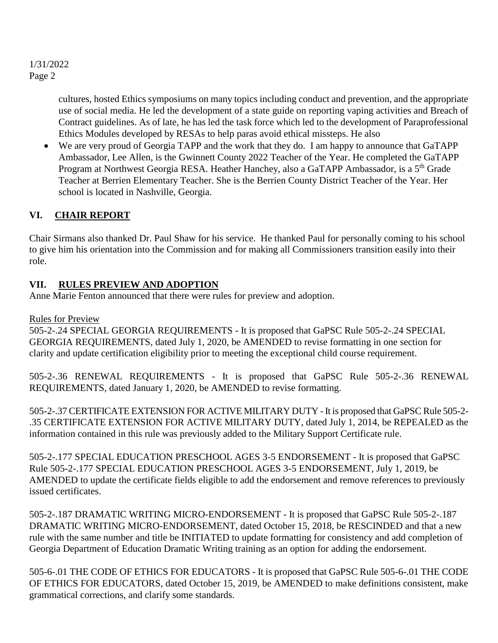cultures, hosted Ethics symposiums on many topics including conduct and prevention, and the appropriate use of social media. He led the development of a state guide on reporting vaping activities and Breach of Contract guidelines. As of late, he has led the task force which led to the development of Paraprofessional Ethics Modules developed by RESAs to help paras avoid ethical missteps. He also

 We are very proud of Georgia TAPP and the work that they do. I am happy to announce that GaTAPP Ambassador, Lee Allen, is the Gwinnett County 2022 Teacher of the Year. He completed the GaTAPP Program at Northwest Georgia RESA. Heather Hanchey, also a GaTAPP Ambassador, is a 5<sup>th</sup> Grade Teacher at Berrien Elementary Teacher. She is the Berrien County District Teacher of the Year. Her school is located in Nashville, Georgia.

## **VI. CHAIR REPORT**

Chair Sirmans also thanked Dr. Paul Shaw for his service. He thanked Paul for personally coming to his school to give him his orientation into the Commission and for making all Commissioners transition easily into their role.

## **VII. RULES PREVIEW AND ADOPTION**

Anne Marie Fenton announced that there were rules for preview and adoption.

## Rules for Preview

505-2-.24 SPECIAL GEORGIA REQUIREMENTS - It is proposed that GaPSC Rule 505-2-.24 SPECIAL GEORGIA REQUIREMENTS, dated July 1, 2020, be AMENDED to revise formatting in one section for clarity and update certification eligibility prior to meeting the exceptional child course requirement.

505-2-.36 RENEWAL REQUIREMENTS - It is proposed that GaPSC Rule 505-2-.36 RENEWAL REQUIREMENTS, dated January 1, 2020, be AMENDED to revise formatting.

505-2-.37 CERTIFICATE EXTENSION FOR ACTIVE MILITARY DUTY - It is proposed that GaPSC Rule 505-2- .35 CERTIFICATE EXTENSION FOR ACTIVE MILITARY DUTY, dated July 1, 2014, be REPEALED as the information contained in this rule was previously added to the Military Support Certificate rule.

505-2-.177 SPECIAL EDUCATION PRESCHOOL AGES 3-5 ENDORSEMENT - It is proposed that GaPSC Rule 505-2-.177 SPECIAL EDUCATION PRESCHOOL AGES 3-5 ENDORSEMENT, July 1, 2019, be AMENDED to update the certificate fields eligible to add the endorsement and remove references to previously issued certificates.

505-2-.187 DRAMATIC WRITING MICRO-ENDORSEMENT - It is proposed that GaPSC Rule 505-2-.187 DRAMATIC WRITING MICRO-ENDORSEMENT, dated October 15, 2018, be RESCINDED and that a new rule with the same number and title be INITIATED to update formatting for consistency and add completion of Georgia Department of Education Dramatic Writing training as an option for adding the endorsement.

505-6-.01 THE CODE OF ETHICS FOR EDUCATORS - It is proposed that GaPSC Rule 505-6-.01 THE CODE OF ETHICS FOR EDUCATORS, dated October 15, 2019, be AMENDED to make definitions consistent, make grammatical corrections, and clarify some standards.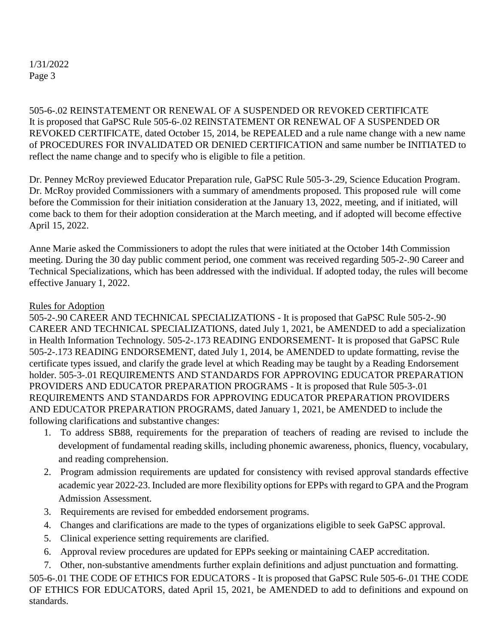505-6-.02 REINSTATEMENT OR RENEWAL OF A SUSPENDED OR REVOKED CERTIFICATE It is proposed that GaPSC Rule 505-6-.02 REINSTATEMENT OR RENEWAL OF A SUSPENDED OR REVOKED CERTIFICATE, dated October 15, 2014, be REPEALED and a rule name change with a new name of PROCEDURES FOR INVALIDATED OR DENIED CERTIFICATION and same number be INITIATED to reflect the name change and to specify who is eligible to file a petition.

Dr. Penney McRoy previewed Educator Preparation rule, GaPSC Rule 505-3-.29, Science Education Program. Dr. McRoy provided Commissioners with a summary of amendments proposed. This proposed rule will come before the Commission for their initiation consideration at the January 13, 2022, meeting, and if initiated, will come back to them for their adoption consideration at the March meeting, and if adopted will become effective April 15, 2022.

Anne Marie asked the Commissioners to adopt the rules that were initiated at the October 14th Commission meeting. During the 30 day public comment period, one comment was received regarding 505-2-.90 Career and Technical Specializations, which has been addressed with the individual. If adopted today, the rules will become effective January 1, 2022.

#### Rules for Adoption

505-2-.90 CAREER AND TECHNICAL SPECIALIZATIONS - It is proposed that GaPSC Rule 505-2-.90 CAREER AND TECHNICAL SPECIALIZATIONS, dated July 1, 2021, be AMENDED to add a specialization in Health Information Technology. 505-2-.173 READING ENDORSEMENT- It is proposed that GaPSC Rule 505-2-.173 READING ENDORSEMENT, dated July 1, 2014, be AMENDED to update formatting, revise the certificate types issued, and clarify the grade level at which Reading may be taught by a Reading Endorsement holder. 505-3-.01 REQUIREMENTS AND STANDARDS FOR APPROVING EDUCATOR PREPARATION PROVIDERS AND EDUCATOR PREPARATION PROGRAMS - It is proposed that Rule 505-3-.01 REQUIREMENTS AND STANDARDS FOR APPROVING EDUCATOR PREPARATION PROVIDERS AND EDUCATOR PREPARATION PROGRAMS, dated January 1, 2021, be AMENDED to include the following clarifications and substantive changes:

- 1. To address SB88, requirements for the preparation of teachers of reading are revised to include the development of fundamental reading skills, including phonemic awareness, phonics, fluency, vocabulary, and reading comprehension.
- 2. Program admission requirements are updated for consistency with revised approval standards effective academic year 2022-23. Included are more flexibility options for EPPs with regard to GPA and the Program Admission Assessment.
- 3. Requirements are revised for embedded endorsement programs.
- 4. Changes and clarifications are made to the types of organizations eligible to seek GaPSC approval.
- 5. Clinical experience setting requirements are clarified.
- 6. Approval review procedures are updated for EPPs seeking or maintaining CAEP accreditation.
- 7. Other, non-substantive amendments further explain definitions and adjust punctuation and formatting.

505-6-.01 THE CODE OF ETHICS FOR EDUCATORS - It is proposed that GaPSC Rule 505-6-.01 THE CODE OF ETHICS FOR EDUCATORS, dated April 15, 2021, be AMENDED to add to definitions and expound on standards.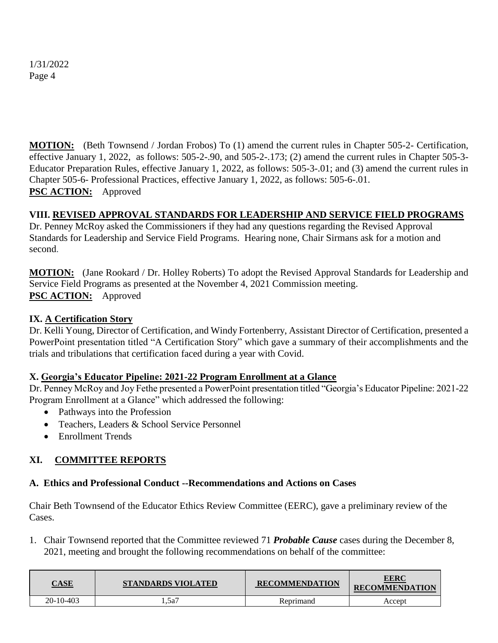**MOTION:** (Beth Townsend / Jordan Frobos) To (1) amend the current rules in Chapter 505-2- Certification, effective January 1, 2022, as follows: 505-2-.90, and 505-2-.173; (2) amend the current rules in Chapter 505-3- Educator Preparation Rules, effective January 1, 2022, as follows: 505-3-.01; and (3) amend the current rules in Chapter 505-6- Professional Practices, effective January 1, 2022, as follows: 505-6-.01. **PSC ACTION:** Approved

## **VIII. REVISED APPROVAL STANDARDS FOR LEADERSHIP AND SERVICE FIELD PROGRAMS**

Dr. Penney McRoy asked the Commissioners if they had any questions regarding the Revised Approval Standards for Leadership and Service Field Programs. Hearing none, Chair Sirmans ask for a motion and second.

**MOTION:** (Jane Rookard / Dr. Holley Roberts) To adopt the Revised Approval Standards for Leadership and Service Field Programs as presented at the November 4, 2021 Commission meeting. **PSC ACTION:** Approved

### **IX. A Certification Story**

Dr. Kelli Young, Director of Certification, and Windy Fortenberry, Assistant Director of Certification, presented a PowerPoint presentation titled "A Certification Story" which gave a summary of their accomplishments and the trials and tribulations that certification faced during a year with Covid.

#### **X. Georgia's Educator Pipeline: 2021-22 Program Enrollment at a Glance**

Dr. Penney McRoy and Joy Fethe presented a PowerPoint presentation titled "Georgia's Educator Pipeline: 2021-22 Program Enrollment at a Glance" which addressed the following:

- Pathways into the Profession
- Teachers, Leaders & School Service Personnel
- Enrollment Trends

## **XI. COMMITTEE REPORTS**

#### **A. Ethics and Professional Conduct --Recommendations and Actions on Cases**

Chair Beth Townsend of the Educator Ethics Review Committee (EERC), gave a preliminary review of the Cases.

1. Chair Townsend reported that the Committee reviewed 71 *Probable Cause* cases during the December 8, 2021, meeting and brought the following recommendations on behalf of the committee:

| $\bf{CASE}$ | <b>STANDARDS VIOLATED</b> | <b>RECOMMENDATION</b> | <u>EERC</u><br><b>RECOMMENDATION</b> |
|-------------|---------------------------|-----------------------|--------------------------------------|
| 20-10-403   | .5a7                      | Reprimand             | Accept                               |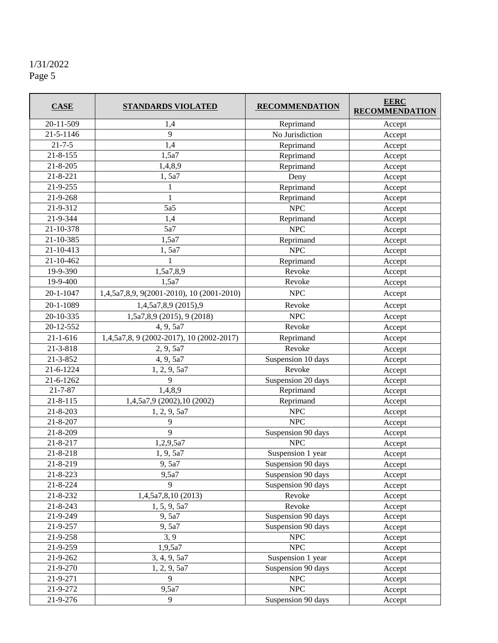| <b>CASE</b>    | <b>STANDARDS VIOLATED</b>                 | <b>RECOMMENDATION</b>              | <b>EERC</b><br><b>RECOMMENDATION</b> |
|----------------|-------------------------------------------|------------------------------------|--------------------------------------|
| 20-11-509      | 1,4                                       | Reprimand                          | Accept                               |
| 21-5-1146      | 9                                         | No Jurisdiction                    | Accept                               |
| $21 - 7 - 5$   | 1,4                                       | Reprimand                          | Accept                               |
| $21 - 8 - 155$ | 1,5a7                                     | Reprimand                          | Accept                               |
| $21 - 8 - 205$ | 1,4,8,9                                   | Reprimand                          | Accept                               |
| $21 - 8 - 221$ | 1,5a7                                     | Deny                               | Accept                               |
| 21-9-255       | 1                                         | Reprimand                          | Accept                               |
| 21-9-268       | $\mathbf{1}$                              | Reprimand                          | Accept                               |
| 21-9-312       | 5a5                                       | <b>NPC</b>                         | Accept                               |
| 21-9-344       | 1,4                                       | Reprimand                          | Accept                               |
| 21-10-378      | 5a7                                       | <b>NPC</b>                         | Accept                               |
| 21-10-385      | 1,5a7                                     | Reprimand                          | Accept                               |
| 21-10-413      | 1,5a7                                     | <b>NPC</b>                         | Accept                               |
| 21-10-462      | 1                                         | Reprimand                          | Accept                               |
| 19-9-390       | 1,5a7,8,9                                 | Revoke                             | Accept                               |
| 19-9-400       | 1,5a7                                     | Revoke                             | Accept                               |
| 20-1-1047      | 1,4,5a7,8,9, 9(2001-2010), 10 (2001-2010) | $\ensuremath{\mathsf{NPC}}$        | Accept                               |
| 20-1-1089      | 1,4,5a7,8,9 (2015),9                      | Revoke                             | Accept                               |
| 20-10-335      | 1,5a7,8,9 (2015), 9 (2018)                | <b>NPC</b>                         | Accept                               |
| 20-12-552      | 4, 9, 5a7                                 | Revoke                             | Accept                               |
| $21 - 1 - 616$ | 1,4,5a7,8, 9 (2002-2017), 10 (2002-2017)  | Reprimand                          | Accept                               |
| 21-3-818       | 2, 9, 5a7                                 | Revoke                             | Accept                               |
| 21-3-852       | Suspension 10 days<br>4, 9, 5a7           |                                    | Accept                               |
| 21-6-1224      | 1, 2, 9, 5a7                              | Revoke                             | Accept                               |
| 21-6-1262      | 9                                         | Suspension 20 days                 | Accept                               |
| $21 - 7 - 87$  | 1,4,8,9                                   | Reprimand                          | Accept                               |
| $21 - 8 - 115$ | 1,4,5a7,9 (2002),10 (2002)                | Reprimand                          | Accept                               |
| $21 - 8 - 203$ | 1, 2, 9, 5a7                              | <b>NPC</b>                         | Accept                               |
| 21-8-207       | 9                                         | <b>NPC</b>                         | Accept                               |
| 21-8-209       | 9                                         | Suspension 90 days                 | Accept                               |
| 21-8-217       | <b>NPC</b><br>1,2,9,5a7                   |                                    | Accept                               |
| 21-8-218       | 1, 9, 5a7                                 | Suspension 1 year                  | Accept                               |
| 21-8-219       | 9, 5a7                                    | Suspension 90 days                 | Accept                               |
| $21 - 8 - 223$ | 9,5a7                                     | Suspension 90 days                 | Accept                               |
| 21-8-224       | 9                                         | Suspension 90 days                 | Accept                               |
| 21-8-232       | 1,4,5a7,8,10 (2013)<br>Revoke             |                                    | Accept                               |
| $21 - 8 - 243$ | Revoke<br>1, 5, 9, 5a7                    |                                    | Accept                               |
| 21-9-249       | 9,5a7                                     | Suspension 90 days                 | Accept                               |
| 21-9-257       | 9, 5a7                                    | Suspension 90 days                 | Accept                               |
| 21-9-258       | 3, 9                                      | ${\rm MPC}$                        | Accept                               |
| 21-9-259       | 1,9,5a7                                   | NPC                                | Accept                               |
| 21-9-262       | 3, 4, 9, 5a7                              | Suspension 1 year                  | Accept<br>Accept                     |
| 21-9-270       |                                           | Suspension 90 days<br>1, 2, 9, 5a7 |                                      |
| 21-9-271       | 9                                         | <b>NPC</b>                         | Accept                               |
| 21-9-272       | 9,5a7                                     | NPC                                | Accept                               |
| $21 - 9 - 276$ | 9                                         | Suspension 90 days                 | Accept                               |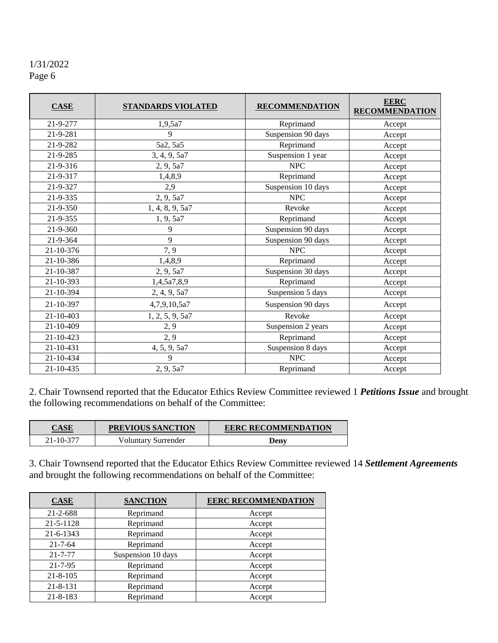| <b>CASE</b>     | STANDARDS VIOLATED | <b>RECOMMENDATION</b> | <b>EERC</b><br><b>RECOMMENDATION</b> |
|-----------------|--------------------|-----------------------|--------------------------------------|
| 21-9-277        | 1,9,5a7            | Reprimand             | Accept                               |
| 21-9-281        | 9                  | Suspension 90 days    | Accept                               |
| 21-9-282        | 5a2, 5a5           | Reprimand             | Accept                               |
| 21-9-285        | 3, 4, 9, 5a7       | Suspension 1 year     | Accept                               |
| 21-9-316        | 2, 9, 5a7          | <b>NPC</b>            | Accept                               |
| 21-9-317        | 1,4,8,9            | Reprimand             | Accept                               |
| 21-9-327        | 2,9                | Suspension 10 days    | Accept                               |
| 21-9-335        | 2, 9, 5a7          | ${\rm MPC}$           | Accept                               |
| 21-9-350        | 1, 4, 8, 9, 5a7    | Revoke                | Accept                               |
| 21-9-355        | 1, 9, 5a7          | Reprimand             | Accept                               |
| $21 - 9 - 360$  | 9                  | Suspension 90 days    | Accept                               |
| 21-9-364        | 9                  | Suspension 90 days    | Accept                               |
| 21-10-376       | 7, 9               | <b>NPC</b>            | Accept                               |
| 21-10-386       | 1,4,8,9            | Reprimand             | Accept                               |
| 21-10-387       | 2, 9, 5a7          | Suspension 30 days    | Accept                               |
| 21-10-393       | 1,4,5a7,8,9        | Reprimand             | Accept                               |
| 21-10-394       | 2, 4, 9, 5a7       | Suspension 5 days     | Accept                               |
| 21-10-397       | 4,7,9,10,5a7       | Suspension 90 days    | Accept                               |
| $21 - 10 - 403$ | 1, 2, 5, 9, 5a7    | Revoke                | Accept                               |
| 21-10-409       | 2, 9               | Suspension 2 years    | Accept                               |
| 21-10-423       | 2, 9               | Reprimand             | Accept                               |
| 21-10-431       | 4, 5, 9, 5a7       | Suspension 8 days     | Accept                               |
| 21-10-434       | 9                  | <b>NPC</b>            | Accept                               |
| 21-10-435       | 2, 9, 5a7          | Reprimand             | Accept                               |

2. Chair Townsend reported that the Educator Ethics Review Committee reviewed 1 *Petitions Issue* and brought the following recommendations on behalf of the Committee:

| <b>CASE</b> | PREVIOUS SANCTION   | <b>EERC RECOMMENDATION</b> |  |  |
|-------------|---------------------|----------------------------|--|--|
| 21-10-377   | Voluntary Surrender | Deny                       |  |  |

3. Chair Townsend reported that the Educator Ethics Review Committee reviewed 14 *Settlement Agreements* and brought the following recommendations on behalf of the Committee:

| <b>CASE</b>    | <b>SANCTION</b>    | <b>EERC RECOMMENDATION</b> |
|----------------|--------------------|----------------------------|
| $21 - 2 - 688$ | Reprimand          | Accept                     |
| 21-5-1128      | Reprimand          | Accept                     |
| 21-6-1343      | Reprimand          | Accept                     |
| $21 - 7 - 64$  | Reprimand          | Accept                     |
| $21 - 7 - 77$  | Suspension 10 days | Accept                     |
| $21 - 7 - 95$  | Reprimand          | Accept                     |
| $21 - 8 - 105$ | Reprimand          | Accept                     |
| $21 - 8 - 131$ | Reprimand          | Accept                     |
| $21 - 8 - 183$ | Reprimand          | Accept                     |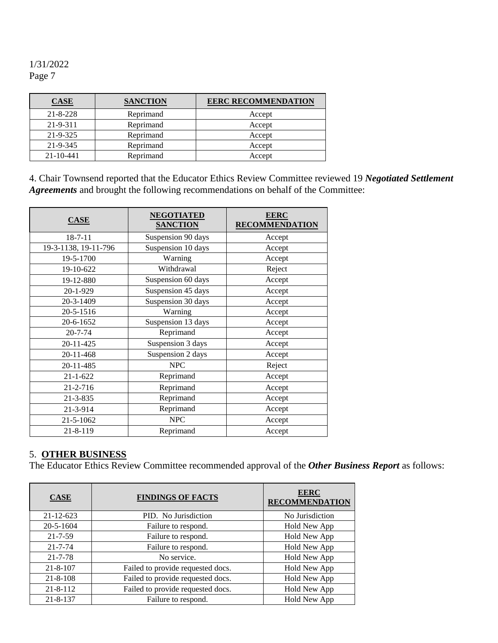| <b>CASE</b>     | <b>SANCTION</b> | <b>EERC RECOMMENDATION</b> |
|-----------------|-----------------|----------------------------|
| $21 - 8 - 228$  | Reprimand       | Accept                     |
| 21-9-311        | Reprimand       | Accept                     |
| $21 - 9 - 325$  | Reprimand       | Accept                     |
| 21-9-345        | Reprimand       | Accept                     |
| $21 - 10 - 441$ | Reprimand       | Accept                     |

4. Chair Townsend reported that the Educator Ethics Review Committee reviewed 19 *Negotiated Settlement Agreements* and brought the following recommendations on behalf of the Committee:

| <b>CASE</b>          | <b>NEGOTIATED</b><br><b>SANCTION</b> | <b>EERC</b><br><b>RECOMMENDATION</b> |
|----------------------|--------------------------------------|--------------------------------------|
| $18 - 7 - 11$        | Suspension 90 days                   | Accept                               |
| 19-3-1138, 19-11-796 | Suspension 10 days                   | Accept                               |
| 19-5-1700            | Warning                              | Accept                               |
| 19-10-622            | Withdrawal                           | Reject                               |
| 19-12-880            | Suspension 60 days                   | Accept                               |
| 20-1-929             | Suspension 45 days                   | Accept                               |
| 20-3-1409            | Suspension 30 days                   | Accept                               |
| 20-5-1516            | Warning                              | Accept                               |
| 20-6-1652            | Suspension 13 days                   | Accept                               |
| $20 - 7 - 74$        | Reprimand                            | Accept                               |
| 20-11-425            | Suspension 3 days                    | Accept                               |
| 20-11-468            | Suspension 2 days                    | Accept                               |
| 20-11-485            | <b>NPC</b>                           | Reject                               |
| $21 - 1 - 622$       | Reprimand                            | Accept                               |
| 21-2-716             | Reprimand                            | Accept                               |
| 21-3-835             | Reprimand                            | Accept                               |
| 21-3-914             | Reprimand                            | Accept                               |
| 21-5-1062            | <b>NPC</b><br>Accept                 |                                      |
| 21-8-119             | Reprimand                            | Accept                               |

## 5. **OTHER BUSINESS**

The Educator Ethics Review Committee recommended approval of the *Other Business Report* as follows:

| <b>CASE</b>     | <b>FINDINGS OF FACTS</b>          | <b>EERC</b><br><b>RECOMMENDATION</b> |
|-----------------|-----------------------------------|--------------------------------------|
| $21 - 12 - 623$ | PID. No Jurisdiction              | No Jurisdiction                      |
| 20-5-1604       | Failure to respond.               | Hold New App                         |
| $21 - 7 - 59$   | Failure to respond.               | Hold New App                         |
| $21 - 7 - 74$   | Failure to respond.               | Hold New App                         |
| $21 - 7 - 78$   | No service.                       | Hold New App                         |
| $21 - 8 - 107$  | Failed to provide requested docs. | Hold New App                         |
| $21 - 8 - 108$  | Failed to provide requested docs. | Hold New App                         |
| $21 - 8 - 112$  | Failed to provide requested docs. | Hold New App                         |
| $21 - 8 - 137$  | Failure to respond.               | Hold New App                         |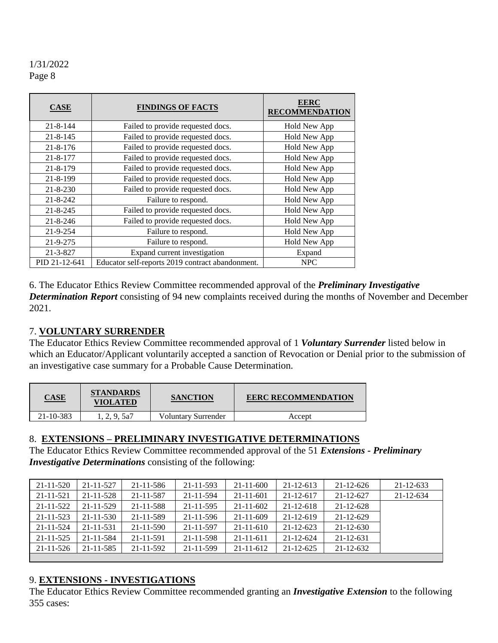| <b>CASE</b>    | <b>FINDINGS OF FACTS</b>                         | <b>EERC</b><br><b>RECOMMENDATION</b> |
|----------------|--------------------------------------------------|--------------------------------------|
| $21 - 8 - 144$ | Failed to provide requested docs.                | Hold New App                         |
| $21 - 8 - 145$ | Failed to provide requested docs.                | Hold New App                         |
| $21 - 8 - 176$ | Failed to provide requested docs.                | Hold New App                         |
| $21 - 8 - 177$ | Failed to provide requested docs.                | Hold New App                         |
| $21 - 8 - 179$ | Failed to provide requested docs.                | Hold New App                         |
| 21-8-199       | Failed to provide requested docs.                | Hold New App                         |
| $21 - 8 - 230$ | Failed to provide requested docs.                | Hold New App                         |
| $21 - 8 - 242$ | Failure to respond.                              | Hold New App                         |
| $21 - 8 - 245$ | Failed to provide requested docs.                | Hold New App                         |
| $21 - 8 - 246$ | Failed to provide requested docs.                | Hold New App                         |
| $21 - 9 - 254$ | Failure to respond.                              | Hold New App                         |
| 21-9-275       | Failure to respond.                              | Hold New App                         |
| 21-3-827       | Expand current investigation                     | Expand                               |
| PID 21-12-641  | Educator self-reports 2019 contract abandonment. | <b>NPC</b>                           |

6. The Educator Ethics Review Committee recommended approval of the *Preliminary Investigative Determination Report* consisting of 94 new complaints received during the months of November and December 2021.

#### 7. **VOLUNTARY SURRENDER**

The Educator Ethics Review Committee recommended approval of 1 *Voluntary Surrender* listed below in which an Educator/Applicant voluntarily accepted a sanction of Revocation or Denial prior to the submission of an investigative case summary for a Probable Cause Determination.

| <b>CASE</b> | <b>STANDARDS</b><br>VIOLATED | <b>SANCTION</b>     | <b>EERC RECOMMENDATION</b> |
|-------------|------------------------------|---------------------|----------------------------|
| 21-10-383   | 1, 2, 9, 5a7                 | Voluntary Surrender | Accept                     |

#### 8. **EXTENSIONS – PRELIMINARY INVESTIGATIVE DETERMINATIONS**

The Educator Ethics Review Committee recommended approval of the 51 *Extensions - Preliminary Investigative Determinations* consisting of the following:

| 21-11-520       | $21 - 11 - 527$ | $21 - 11 - 586$ | 21-11-593       | $21 - 11 - 600$ | $21 - 12 - 613$ | $21 - 12 - 626$ | $21 - 12 - 633$ |
|-----------------|-----------------|-----------------|-----------------|-----------------|-----------------|-----------------|-----------------|
| 21-11-521       | $21 - 11 - 528$ | 21-11-587       | 21-11-594       | $21 - 11 - 601$ | $21 - 12 - 617$ | 21-12-627       | 21-12-634       |
| $21 - 11 - 522$ | $21 - 11 - 529$ | $21 - 11 - 588$ | 21-11-595       | $21 - 11 - 602$ | $21 - 12 - 618$ | $21 - 12 - 628$ |                 |
| 21-11-523       | $21 - 11 - 530$ | 21-11-589       | $21 - 11 - 596$ | $21 - 11 - 609$ | $21 - 12 - 619$ | $21 - 12 - 629$ |                 |
| 21-11-524       | 21-11-531       | $21 - 11 - 590$ | 21-11-597       | $21 - 11 - 610$ | $21 - 12 - 623$ | $21 - 12 - 630$ |                 |
| $21 - 11 - 525$ | 21-11-584       | 21-11-591       | 21-11-598       | $21 - 11 - 611$ | $21 - 12 - 624$ | $21 - 12 - 631$ |                 |
| 21-11-526       | 21-11-585       | $21 - 11 - 592$ | 21-11-599       | $21 - 11 - 612$ | $21 - 12 - 625$ | $21 - 12 - 632$ |                 |
|                 |                 |                 |                 |                 |                 |                 |                 |

#### 9. **EXTENSIONS - INVESTIGATIONS**

The Educator Ethics Review Committee recommended granting an *Investigative Extension* to the following 355 cases: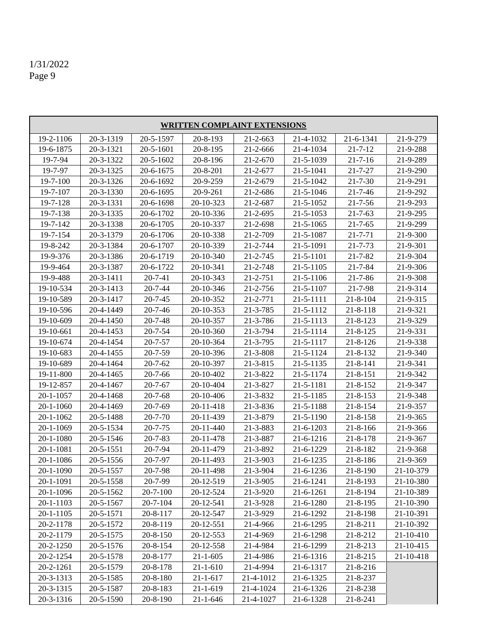| <b>WRITTEN COMPLAINT EXTENSIONS</b> |                 |                |                 |                |           |                |           |
|-------------------------------------|-----------------|----------------|-----------------|----------------|-----------|----------------|-----------|
| 19-2-1106                           | 20-3-1319       | 20-5-1597      | 20-8-193        | $21 - 2 - 663$ | 21-4-1032 | 21-6-1341      | 21-9-279  |
| 19-6-1875                           | 20-3-1321       | 20-5-1601      | $20 - 8 - 195$  | 21-2-666       | 21-4-1034 | $21 - 7 - 12$  | 21-9-288  |
| 19-7-94                             | 20-3-1322       | 20-5-1602      | 20-8-196        | $21 - 2 - 670$ | 21-5-1039 | $21 - 7 - 16$  | 21-9-289  |
| 19-7-97                             | 20-3-1325       | 20-6-1675      | 20-8-201        | 21-2-677       | 21-5-1041 | $21 - 7 - 27$  | 21-9-290  |
| 19-7-100                            | 20-3-1326       | 20-6-1692      | 20-9-259        | 21-2-679       | 21-5-1042 | $21 - 7 - 30$  | 21-9-291  |
| 19-7-107                            | 20-3-1330       | 20-6-1695      | 20-9-261        | 21-2-686       | 21-5-1046 | $21 - 7 - 46$  | 21-9-292  |
| 19-7-128                            | 20-3-1331       | 20-6-1698      | 20-10-323       | 21-2-687       | 21-5-1052 | $21 - 7 - 56$  | 21-9-293  |
| 19-7-138                            | 20-3-1335       | 20-6-1702      | 20-10-336       | $21 - 2 - 695$ | 21-5-1053 | $21 - 7 - 63$  | 21-9-295  |
| 19-7-142                            | 20-3-1338       | 20-6-1705      | 20-10-337       | 21-2-698       | 21-5-1065 | $21 - 7 - 65$  | 21-9-299  |
| 19-7-154                            | 20-3-1379       | 20-6-1706      | 20-10-338       | 21-2-709       | 21-5-1087 | $21 - 7 - 71$  | 21-9-300  |
| 19-8-242                            | 20-3-1384       | 20-6-1707      | 20-10-339       | 21-2-744       | 21-5-1091 | 21-7-73        | 21-9-301  |
| 19-9-376                            | 20-3-1386       | 20-6-1719      | 20-10-340       | 21-2-745       | 21-5-1101 | 21-7-82        | 21-9-304  |
| 19-9-464                            | 20-3-1387       | 20-6-1722      | 20-10-341       | 21-2-748       | 21-5-1105 | $21 - 7 - 84$  | 21-9-306  |
| 19-9-488                            | $20 - 3 - 1411$ | $20 - 7 - 41$  | 20-10-343       | $21 - 2 - 751$ | 21-5-1106 | $21 - 7 - 86$  | 21-9-308  |
| 19-10-534                           | 20-3-1413       | $20 - 7 - 44$  | 20-10-346       | 21-2-756       | 21-5-1107 | 21-7-98        | 21-9-314  |
| 19-10-589                           | 20-3-1417       | $20 - 7 - 45$  | 20-10-352       | 21-2-771       | 21-5-1111 | $21 - 8 - 104$ | 21-9-315  |
| 19-10-596                           | 20-4-1449       | $20 - 7 - 46$  | 20-10-353       | 21-3-785       | 21-5-1112 | $21 - 8 - 118$ | 21-9-321  |
| 19-10-609                           | 20-4-1450       | $20 - 7 - 48$  | 20-10-357       | 21-3-786       | 21-5-1113 | $21 - 8 - 123$ | 21-9-329  |
| 19-10-661                           | 20-4-1453       | $20 - 7 - 54$  | 20-10-360       | 21-3-794       | 21-5-1114 | $21 - 8 - 125$ | 21-9-331  |
| 19-10-674                           | 20-4-1454       | $20 - 7 - 57$  | 20-10-364       | 21-3-795       | 21-5-1117 | $21 - 8 - 126$ | 21-9-338  |
| 19-10-683                           | 20-4-1455       | $20 - 7 - 59$  | 20-10-396       | 21-3-808       | 21-5-1124 | 21-8-132       | 21-9-340  |
| 19-10-689                           | 20-4-1464       | $20 - 7 - 62$  | 20-10-397       | 21-3-815       | 21-5-1135 | 21-8-141       | 21-9-341  |
| 19-11-800                           | 20-4-1465       | $20 - 7 - 66$  | 20-10-402       | 21-3-822       | 21-5-1174 | $21 - 8 - 151$ | 21-9-342  |
| 19-12-857                           | 20-4-1467       | $20 - 7 - 67$  | 20-10-404       | 21-3-827       | 21-5-1181 | 21-8-152       | 21-9-347  |
| 20-1-1057                           | 20-4-1468       | $20 - 7 - 68$  | 20-10-406       | 21-3-832       | 21-5-1185 | $21 - 8 - 153$ | 21-9-348  |
| 20-1-1060                           | 20-4-1469       | $20 - 7 - 69$  | 20-11-418       | 21-3-836       | 21-5-1188 | $21 - 8 - 154$ | 21-9-357  |
| 20-1-1062                           | 20-5-1488       | $20 - 7 - 70$  | 20-11-439       | 21-3-879       | 21-5-1190 | $21 - 8 - 158$ | 21-9-365  |
| 20-1-1069                           | 20-5-1534       | $20 - 7 - 75$  | $20 - 11 - 440$ | 21-3-883       | 21-6-1203 | $21 - 8 - 166$ | 21-9-366  |
| 20-1-1080                           | 20-5-1546       | $20 - 7 - 83$  | 20-11-478       | 21-3-887       | 21-6-1216 | $21 - 8 - 178$ | 21-9-367  |
| 20-1-1081                           | 20-5-1551       | 20-7-94        | 20-11-479       | 21-3-892       | 21-6-1229 | 21-8-182       | 21-9-368  |
| 20-1-1086                           | 20-5-1556       | $20 - 7 - 97$  | 20-11-493       | 21-3-903       | 21-6-1235 | 21-8-186       | 21-9-369  |
| $20 - 1 - 1090$                     | 20-5-1557       | 20-7-98        | 20-11-498       | 21-3-904       | 21-6-1236 | $21 - 8 - 190$ | 21-10-379 |
| 20-1-1091                           | 20-5-1558       | 20-7-99        | 20-12-519       | 21-3-905       | 21-6-1241 | 21-8-193       | 21-10-380 |
| 20-1-1096                           | 20-5-1562       | $20 - 7 - 100$ | 20-12-524       | 21-3-920       | 21-6-1261 | $21 - 8 - 194$ | 21-10-389 |
| 20-1-1103                           | 20-5-1567       | $20 - 7 - 104$ | 20-12-541       | 21-3-928       | 21-6-1280 | 21-8-195       | 21-10-390 |
| 20-1-1105                           | 20-5-1571       | 20-8-117       | 20-12-547       | 21-3-929       | 21-6-1292 | 21-8-198       | 21-10-391 |
| 20-2-1178                           | 20-5-1572       | 20-8-119       | 20-12-551       | 21-4-966       | 21-6-1295 | 21-8-211       | 21-10-392 |
| 20-2-1179                           | 20-5-1575       | 20-8-150       | 20-12-553       | 21-4-969       | 21-6-1298 | 21-8-212       | 21-10-410 |
| 20-2-1250                           | 20-5-1576       | $20 - 8 - 154$ | 20-12-558       | 21-4-984       | 21-6-1299 | 21-8-213       | 21-10-415 |
| 20-2-1254                           | 20-5-1578       | 20-8-177       | $21 - 1 - 605$  | 21-4-986       | 21-6-1316 | $21 - 8 - 215$ | 21-10-418 |
| 20-2-1261                           | 20-5-1579       | 20-8-178       | $21 - 1 - 610$  | 21-4-994       | 21-6-1317 | 21-8-216       |           |
| 20-3-1313                           | 20-5-1585       | $20 - 8 - 180$ | $21 - 1 - 617$  | 21-4-1012      | 21-6-1325 | 21-8-237       |           |
| 20-3-1315                           | 20-5-1587       | 20-8-183       | $21 - 1 - 619$  | 21-4-1024      | 21-6-1326 | 21-8-238       |           |
| 20-3-1316                           | 20-5-1590       | 20-8-190       | $21 - 1 - 646$  | 21-4-1027      | 21-6-1328 | 21-8-241       |           |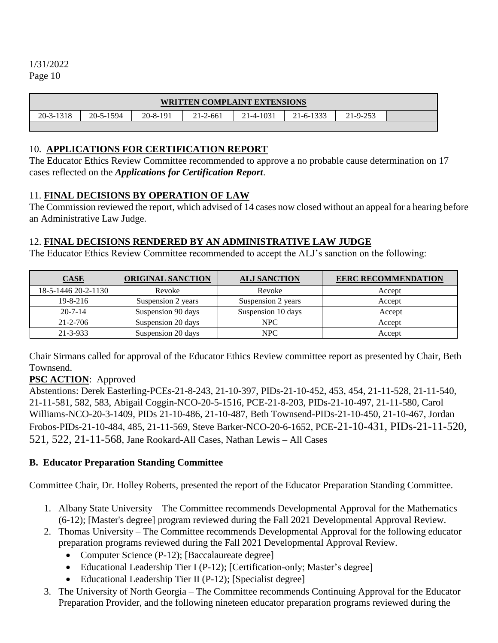| <b>WRITTEN COMPLAINT EXTENSIONS</b> |           |          |                |           |           |          |  |
|-------------------------------------|-----------|----------|----------------|-----------|-----------|----------|--|
| $20 - 3 - 1318$                     | 20-5-1594 | 20-8-191 | $21 - 2 - 661$ | 21-4-1031 | 21-6-1333 | 21-9-253 |  |
|                                     |           |          |                |           |           |          |  |

### 10. **APPLICATIONS FOR CERTIFICATION REPORT**

The Educator Ethics Review Committee recommended to approve a no probable cause determination on 17 cases reflected on the *Applications for Certification Report*.

## 11. **FINAL DECISIONS BY OPERATION OF LAW**

The Commission reviewed the report, which advised of 14 cases now closed without an appeal for a hearing before an Administrative Law Judge.

## 12. **FINAL DECISIONS RENDERED BY AN ADMINISTRATIVE LAW JUDGE**

The Educator Ethics Review Committee recommended to accept the ALJ's sanction on the following:

| CASE                | <b>ORIGINAL SANCTION</b> | <b>ALJ SANCTION</b> | <b>EERC RECOMMENDATION</b> |
|---------------------|--------------------------|---------------------|----------------------------|
| 18-5-1446 20-2-1130 | Revoke                   | Revoke              | Accept                     |
| $19 - 8 - 216$      | Suspension 2 years       | Suspension 2 years  | Accept                     |
| $20 - 7 - 14$       | Suspension 90 days       | Suspension 10 days  | Accept                     |
| 21-2-706            | Suspension 20 days       | NPC                 | Accept                     |
| 21-3-933            | Suspension 20 days       | NPC                 | Accept                     |

Chair Sirmans called for approval of the Educator Ethics Review committee report as presented by Chair, Beth Townsend.

## **PSC ACTION**: Approved

Abstentions: Derek Easterling-PCEs-21-8-243, 21-10-397, PIDs-21-10-452, 453, 454, 21-11-528, 21-11-540, 21-11-581, 582, 583, Abigail Coggin-NCO-20-5-1516, PCE-21-8-203, PIDs-21-10-497, 21-11-580, Carol Williams-NCO-20-3-1409, PIDs 21-10-486, 21-10-487, Beth Townsend-PIDs-21-10-450, 21-10-467, Jordan Frobos-PIDs-21-10-484, 485, 21-11-569, Steve Barker-NCO-20-6-1652, PCE-21-10-431, PIDs-21-11-520, 521, 522, 21-11-568, Jane Rookard-All Cases, Nathan Lewis – All Cases

#### **B. Educator Preparation Standing Committee**

Committee Chair, Dr. Holley Roberts, presented the report of the Educator Preparation Standing Committee.

- 1. Albany State University The Committee recommends Developmental Approval for the Mathematics (6-12); [Master's degree] program reviewed during the Fall 2021 Developmental Approval Review.
- 2. Thomas University The Committee recommends Developmental Approval for the following educator preparation programs reviewed during the Fall 2021 Developmental Approval Review.
	- Computer Science (P-12); [Baccalaureate degree]
	- Educational Leadership Tier I (P-12); [Certification-only; Master's degree]
	- Educational Leadership Tier II (P-12); [Specialist degree]
- 3. The University of North Georgia The Committee recommends Continuing Approval for the Educator Preparation Provider, and the following nineteen educator preparation programs reviewed during the